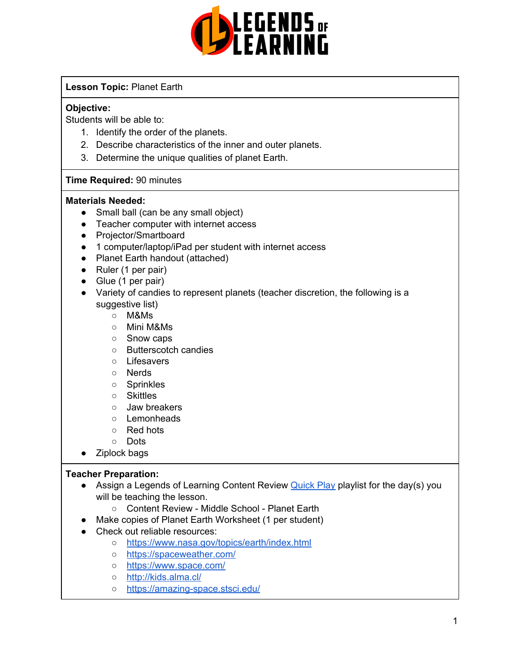

### **Lesson Topic:** Planet Earth

#### **Objective:**

Students will be able to:

- 1. Identify the order of the planets.
- 2. Describe characteristics of the inner and outer planets.
- 3. Determine the unique qualities of planet Earth.

#### **Time Required:** 90 minutes

#### **Materials Needed:**

- Small ball (can be any small object)
- Teacher computer with internet access
- Projector/Smartboard
- 1 computer/laptop/iPad per student with internet access
- Planet Earth handout (attached)
- Ruler (1 per pair)
- Glue (1 per pair)
- Variety of candies to represent planets (teacher discretion, the following is a suggestive list)
	- M&Ms
	- Mini M&Ms
	- Snow caps
	- Butterscotch candies
	- Lifesavers
	- Nerds
	- Sprinkles
	- Skittles
	- Jaw breakers
	- Lemonheads
	- Red hots
	- Dots
- Ziplock bags

#### **Teacher Preparation:**

- Assign a Legends of Learning Content Review **[Quick](https://intercom.help/legends-of-learning/en/articles/2701866-assigning-a-quick-play-playlist) Play playlist for the day(s)** you will be teaching the lesson.
	- Content Review Middle School Planet Earth
- Make copies of Planet Earth Worksheet (1 per student)
- Check out reliable resources:
	- <https://www.nasa.gov/topics/earth/index.html>
	- <https://spaceweather.com/>
	- <https://www.space.com/>
	- <http://kids.alma.cl/>
	- <https://amazing-space.stsci.edu/>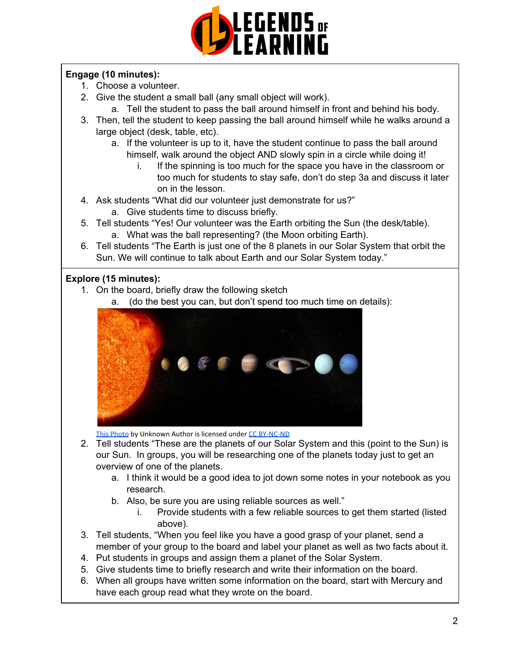

## **Engage (10 minutes):**

- 1. Choose a volunteer.
- 2. Give the student a small ball (any small object will work).
	- a. Tell the student to pass the ball around himself in front and behind his body.
- 3. Then, tell the student to keep passing the ball around himself while he walks around a large object (desk, table, etc).
	- a. If the volunteer is up to it, have the student continue to pass the ball around himself, walk around the object AND slowly spin in a circle while doing it!
		- i. If the spinning is too much for the space you have in the classroom or too much for students to stay safe, don't do step 3a and discuss it later on in the lesson.
- 4. Ask students "What did our volunteer just demonstrate for us?"
	- a. Give students time to discuss briefly.
- 5. Tell students "Yes! Our volunteer was the Earth orbiting the Sun (the desk/table). a. What was the ball representing? (the Moon orbiting Earth).
- 6. Tell students "The Earth is just one of the 8 planets in our Solar System that orbit the Sun. We will continue to talk about Earth and our Solar System today."

### **Explore (15 minutes):**

- 1. On the board, briefly draw the following sketch
	- a. (do the best you can, but don't spend too much time on details):



[This Photo](https://www.deviantart.com/andreiduca/art/Sistemul-Solar-52401665) by Unknown Author is licensed under [CC BY-NC-ND](https://creativecommons.org/licenses/by-nc-nd/3.0/)

- 2. Tell students "These are the planets [o](https://creativecommons.org/licenses/by-nc-nd/3.0/)f our Solar System and this (point to the Sun) is our Sun. In groups, you will be researching one of the planets today just to get an overview of one of the planets.
	- a. I think it would be a good idea to jot down some notes in your notebook as you research.
	- b. Also, be sure you are using reliable sources as well."
		- i. Provide students with a few reliable sources to get them started (listed above).
- 3. Tell students, "When you feel like you have a good grasp of your planet, send a member of your group to the board and label your planet as well as two facts about it.
- 4. Put students in groups and assign them a planet of the Solar System.
- 5. Give students time to briefly research and write their information on the board.
- 6. When all groups have written some information on the board, start with Mercury and have each group read what they wrote on the board.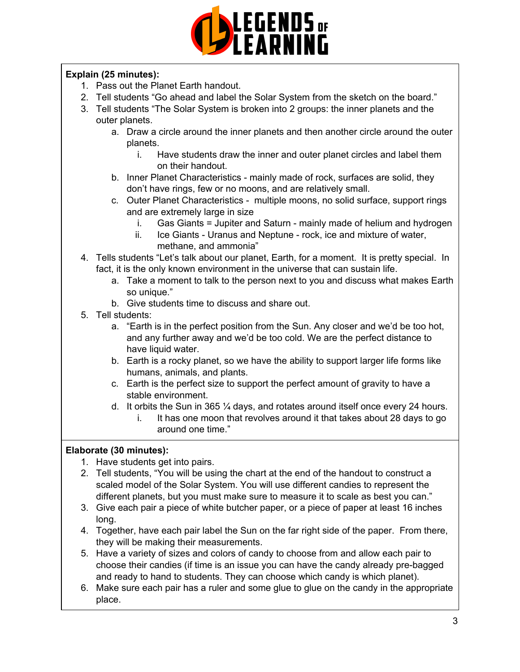

## **Explain (25 minutes):**

- 1. Pass out the Planet Earth handout.
- 2. Tell students "Go ahead and label the Solar System from the sketch on the board."
- 3. Tell students "The Solar System is broken into 2 groups: the inner planets and the outer planets.
	- a. Draw a circle around the inner planets and then another circle around the outer planets.
		- i. Have students draw the inner and outer planet circles and label them on their handout.
	- b. Inner Planet Characteristics mainly made of rock, surfaces are solid, they don't have rings, few or no moons, and are relatively small.
	- c. Outer Planet Characteristics multiple moons, no solid surface, support rings and are extremely large in size
		- i. Gas Giants = Jupiter and Saturn mainly made of helium and hydrogen
		- ii. Ice Giants Uranus and Neptune rock, ice and mixture of water, methane, and ammonia"
- 4. Tells students "Let's talk about our planet, Earth, for a moment. It is pretty special. In fact, it is the only known environment in the universe that can sustain life.
	- a. Take a moment to talk to the person next to you and discuss what makes Earth so unique."
	- b. Give students time to discuss and share out.
- 5. Tell students:
	- a. "Earth is in the perfect position from the Sun. Any closer and we'd be too hot, and any further away and we'd be too cold. We are the perfect distance to have liquid water.
	- b. Earth is a rocky planet, so we have the ability to support larger life forms like humans, animals, and plants.
	- c. Earth is the perfect size to support the perfect amount of gravity to have a stable environment.
	- d. It orbits the Sun in 365 ¼ days, and rotates around itself once every 24 hours.
		- i. It has one moon that revolves around it that takes about 28 days to go around one time."

#### **Elaborate (30 minutes):**

- 1. Have students get into pairs.
- 2. Tell students, "You will be using the chart at the end of the handout to construct a scaled model of the Solar System. You will use different candies to represent the different planets, but you must make sure to measure it to scale as best you can."
- 3. Give each pair a piece of white butcher paper, or a piece of paper at least 16 inches long.
- 4. Together, have each pair label the Sun on the far right side of the paper. From there, they will be making their measurements.
- 5. Have a variety of sizes and colors of candy to choose from and allow each pair to choose their candies (if time is an issue you can have the candy already pre-bagged and ready to hand to students. They can choose which candy is which planet).
- 6. Make sure each pair has a ruler and some glue to glue on the candy in the appropriate place.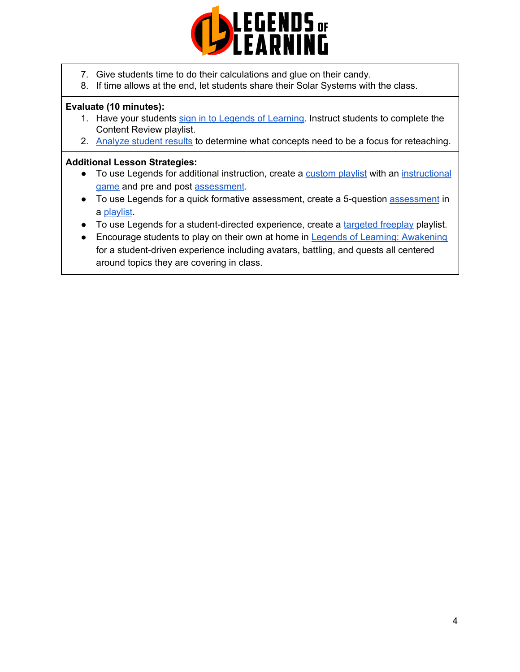

- 7. Give students time to do their calculations and glue on their candy.
- 8. If time allows at the end, let students share their Solar Systems with the class.

#### **Evaluate (10 minutes):**

- 1. Have your students sign in to Legends of [Learning](https://intercom.help/legends-of-learning/en/articles/2154920-students-joining-a-playlist). Instruct students to complete the Content Review playlist.
- 2. [Analyze](https://intercom.help/legends-of-learning/en/articles/2154918-tracking-student-progress-and-performance) student results to determine what concepts need to be a focus for reteaching.

#### **Additional Lesson Strategies:**

- To use Legends for additional instruction, create a [custom](https://intercom.help/legends-of-learning/en/articles/2154910-creating-a-playlist) playlist with an [instructional](https://intercom.help/legends-of-learning/en/articles/3505828-types-of-games) [game](https://intercom.help/legends-of-learning/en/articles/3505828-types-of-games) and pre and post [assessment](https://intercom.help/legends-of-learning/en/articles/2154913-adding-assessments-to-a-playlist).
- To use Legends for a quick formative [assessment](https://intercom.help/legends-of-learning/en/articles/2154913-adding-assessments-to-a-playlist), create a 5-question assessment in a [playlist](https://intercom.help/legends-of-learning/en/articles/2154910-creating-a-playlist).
- To use Legends for a student-directed experience, create a [targeted](https://intercom.help/legends-of-learning/en/articles/3340814-targeted-freeplay) freeplay playlist.
- Encourage students to play on their own at home in Legends of Learning: [Awakening](https://intercom.help/legends-of-learning/en/articles/2425490-legends-of-learning-awakening) for a student-driven experience including avatars, battling, and quests all centered around topics they are covering in class.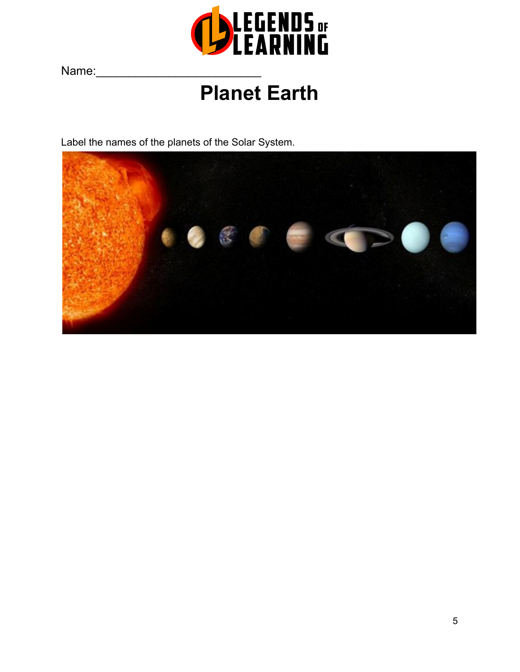

Name:

# **Planet Earth**

Label the names of the planets of the Solar System.

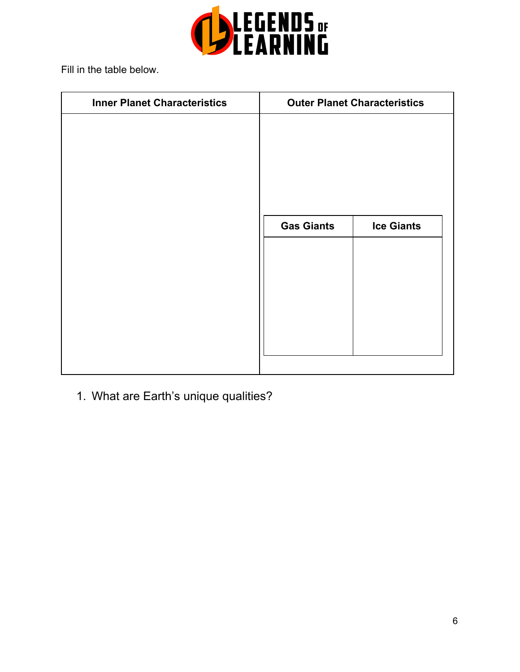

Fill in the table below.

| <b>Inner Planet Characteristics</b> | <b>Outer Planet Characteristics</b> |                   |
|-------------------------------------|-------------------------------------|-------------------|
|                                     |                                     |                   |
|                                     |                                     |                   |
|                                     |                                     |                   |
|                                     |                                     |                   |
|                                     |                                     |                   |
|                                     | <b>Gas Giants</b>                   | <b>Ice Giants</b> |
|                                     |                                     |                   |
|                                     |                                     |                   |
|                                     |                                     |                   |
|                                     |                                     |                   |
|                                     |                                     |                   |
|                                     |                                     |                   |

1. What are Earth's unique qualities?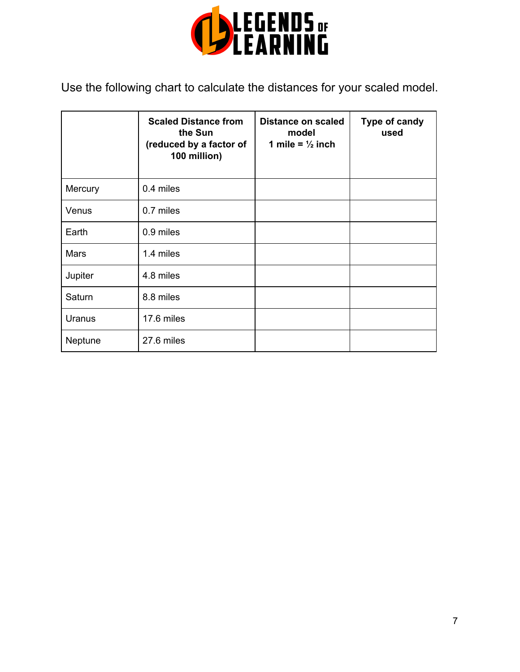

Use the following chart to calculate the distances for your scaled model.

|         | <b>Scaled Distance from</b><br>the Sun<br>(reduced by a factor of<br>100 million) | Distance on scaled<br>model<br>1 mile = $\frac{1}{2}$ inch | Type of candy<br>used |
|---------|-----------------------------------------------------------------------------------|------------------------------------------------------------|-----------------------|
| Mercury | 0.4 miles                                                                         |                                                            |                       |
| Venus   | 0.7 miles                                                                         |                                                            |                       |
| Earth   | 0.9 miles                                                                         |                                                            |                       |
| Mars    | 1.4 miles                                                                         |                                                            |                       |
| Jupiter | 4.8 miles                                                                         |                                                            |                       |
| Saturn  | 8.8 miles                                                                         |                                                            |                       |
| Uranus  | 17.6 miles                                                                        |                                                            |                       |
| Neptune | 27.6 miles                                                                        |                                                            |                       |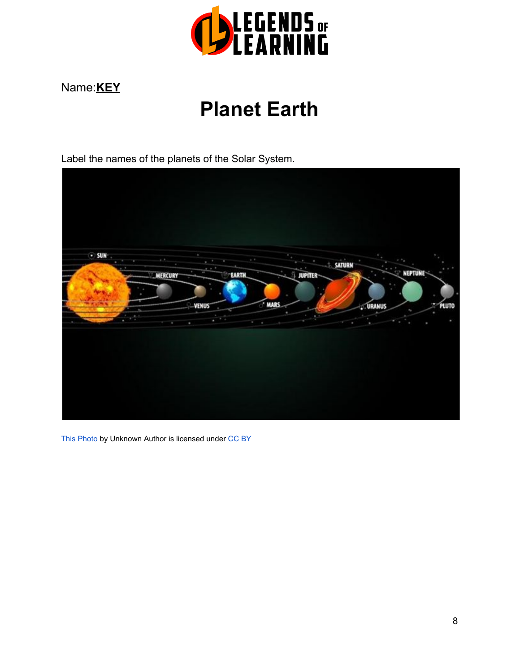

# Name:**KEY**

# **Planet Earth**

Label the names of the planets of the Solar System.



[This Photo](https://www.vexels.com/vectors/preview/68734/planet-of-solar-system) by Unknown Autho[r](https://creativecommons.org/licenses/by/3.0/) is licensed under [CC BY](https://creativecommons.org/licenses/by/3.0/)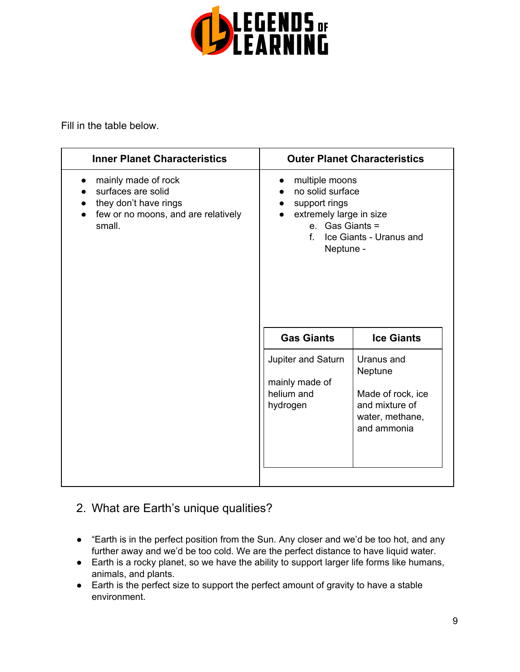

Fill in the table below.

| <b>Inner Planet Characteristics</b>                                                                                 |                                                                                                                                                          | <b>Outer Planet Characteristics</b>                                                            |
|---------------------------------------------------------------------------------------------------------------------|----------------------------------------------------------------------------------------------------------------------------------------------------------|------------------------------------------------------------------------------------------------|
| mainly made of rock<br>surfaces are solid<br>they don't have rings<br>few or no moons, and are relatively<br>small. | multiple moons<br>no solid surface<br>support rings<br>extremely large in size<br>e. Gas Giants =<br>$f_{\cdot}$<br>Ice Giants - Uranus and<br>Neptune - |                                                                                                |
|                                                                                                                     | <b>Gas Giants</b>                                                                                                                                        | <b>Ice Giants</b>                                                                              |
|                                                                                                                     | Jupiter and Saturn<br>mainly made of<br>helium and<br>hydrogen                                                                                           | Uranus and<br>Neptune<br>Made of rock, ice<br>and mixture of<br>water, methane,<br>and ammonia |

# 2. What are Earth's unique qualities?

- "Earth is in the perfect position from the Sun. Any closer and we'd be too hot, and any further away and we'd be too cold. We are the perfect distance to have liquid water.
- Earth is a rocky planet, so we have the ability to support larger life forms like humans, animals, and plants.
- Earth is the perfect size to support the perfect amount of gravity to have a stable environment.